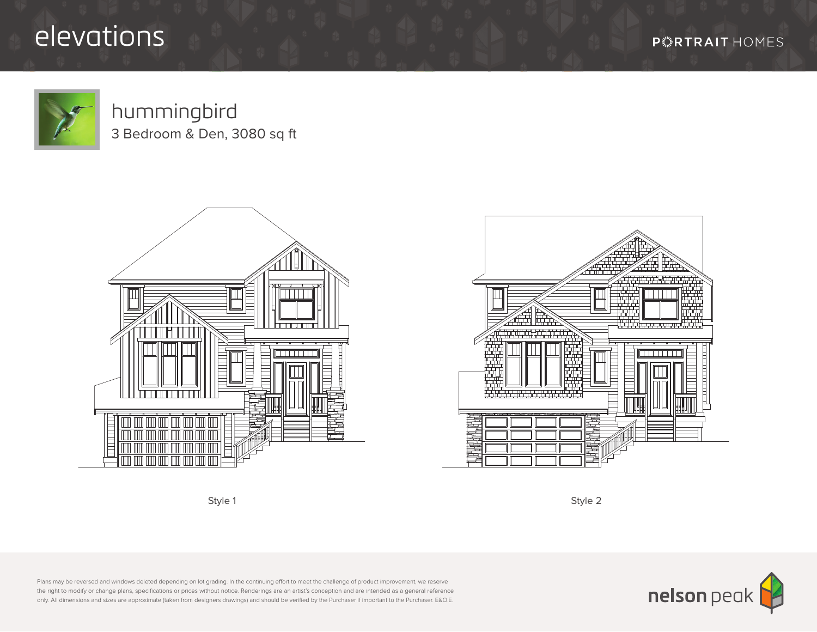## elevations

**P \*\*\* RTRAIT HOMES** 



## hummingbird

3 Bedroom & Den, 3080 sq ft







Plans may be reversed and windows deleted depending on lot grading. In the continuing effort to meet the challenge of product improvement, we reserve the right to modify or change plans, specifications or prices without notice. Renderings are an artist's conception and are intended as a general reference only. All dimensions and sizes are approximate (taken from designers drawings) and should be verified by the Purchaser if important to the Purchaser. E&O.E.